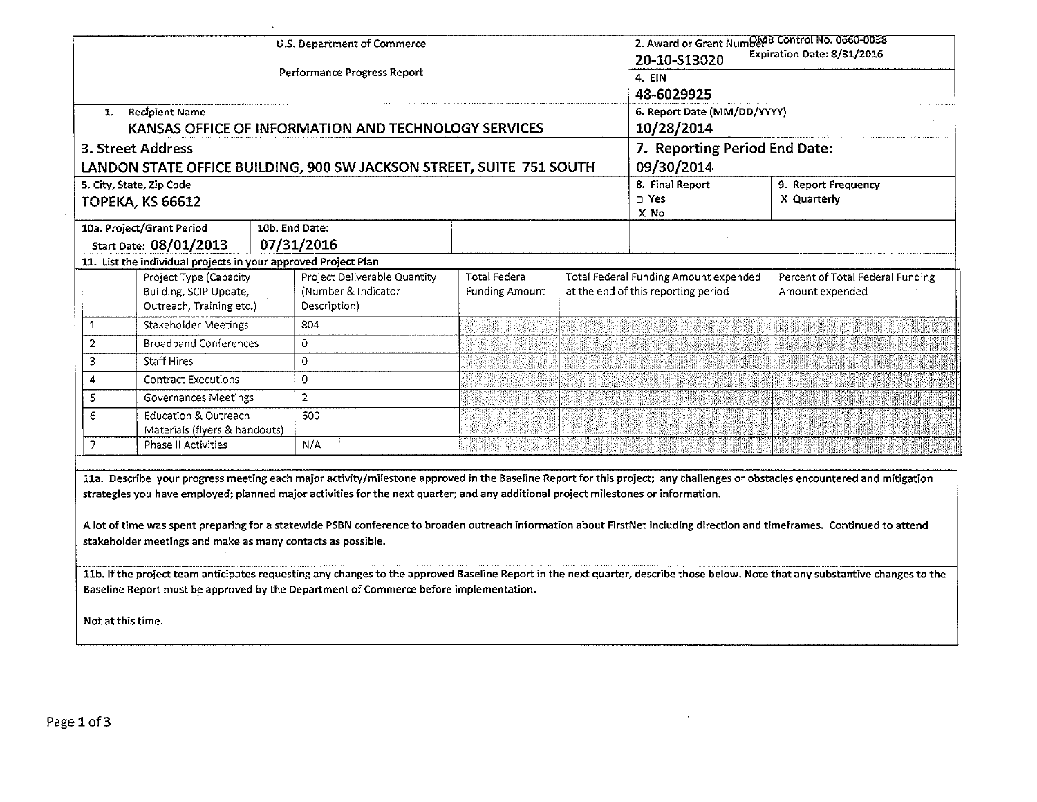|                                                                                                                                                                                                                                                                                                                                                                                                                                                                                                                                                                                                                                                                                                                                                                                                                                         | 1. Recipient Name<br>3. Street Address                                       |  | U.S. Department of Commerce<br>Performance Progress Report<br>KANSAS OFFICE OF INFORMATION AND TECHNOLOGY SERVICES | 2. Award or Grant NumDev <sup>B</sup> Control No. 0660-0038<br>Expiration Date: 8/31/2016<br>20-10-S13020<br>4. EIN<br>48-6029925<br>6. Report Date (MM/DD/YYYY)<br>10/28/2014<br>7. Reporting Period End Date: |  |                                                                              |                                                     |  |
|-----------------------------------------------------------------------------------------------------------------------------------------------------------------------------------------------------------------------------------------------------------------------------------------------------------------------------------------------------------------------------------------------------------------------------------------------------------------------------------------------------------------------------------------------------------------------------------------------------------------------------------------------------------------------------------------------------------------------------------------------------------------------------------------------------------------------------------------|------------------------------------------------------------------------------|--|--------------------------------------------------------------------------------------------------------------------|-----------------------------------------------------------------------------------------------------------------------------------------------------------------------------------------------------------------|--|------------------------------------------------------------------------------|-----------------------------------------------------|--|
|                                                                                                                                                                                                                                                                                                                                                                                                                                                                                                                                                                                                                                                                                                                                                                                                                                         |                                                                              |  | LANDON STATE OFFICE BUILDING, 900 SW JACKSON STREET, SUITE 751 SOUTH                                               | 09/30/2014                                                                                                                                                                                                      |  |                                                                              |                                                     |  |
|                                                                                                                                                                                                                                                                                                                                                                                                                                                                                                                                                                                                                                                                                                                                                                                                                                         | 5. City, State, Zip Code<br><b>TOPEKA, KS 66612</b>                          |  |                                                                                                                    |                                                                                                                                                                                                                 |  | 8. Final Report<br>□ Yes<br>X No                                             | 9. Report Frequency<br>X Quarterly                  |  |
|                                                                                                                                                                                                                                                                                                                                                                                                                                                                                                                                                                                                                                                                                                                                                                                                                                         | 10a. Project/Grant Period                                                    |  | 10b. End Date:                                                                                                     |                                                                                                                                                                                                                 |  |                                                                              |                                                     |  |
|                                                                                                                                                                                                                                                                                                                                                                                                                                                                                                                                                                                                                                                                                                                                                                                                                                         | Start Date: 08/01/2013                                                       |  | 07/31/2016                                                                                                         |                                                                                                                                                                                                                 |  |                                                                              |                                                     |  |
|                                                                                                                                                                                                                                                                                                                                                                                                                                                                                                                                                                                                                                                                                                                                                                                                                                         | 11. List the individual projects in your approved Project Plan               |  |                                                                                                                    |                                                                                                                                                                                                                 |  |                                                                              |                                                     |  |
|                                                                                                                                                                                                                                                                                                                                                                                                                                                                                                                                                                                                                                                                                                                                                                                                                                         | Project Type (Capacity<br>Building, SCIP Update,<br>Outreach, Training etc.) |  | Project Deliverable Quantity<br>(Number & Indicator<br>Description)                                                | <b>Total Federal</b><br><b>Funding Amount</b>                                                                                                                                                                   |  | Total Federal Funding Amount expended<br>at the end of this reporting period | Percent of Total Federal Funding<br>Amount expended |  |
| $\mathbf{1}$                                                                                                                                                                                                                                                                                                                                                                                                                                                                                                                                                                                                                                                                                                                                                                                                                            | Stakeholder Meetings                                                         |  | 804                                                                                                                |                                                                                                                                                                                                                 |  |                                                                              |                                                     |  |
| $\overline{2}$                                                                                                                                                                                                                                                                                                                                                                                                                                                                                                                                                                                                                                                                                                                                                                                                                          | <b>Broadband Conferences</b>                                                 |  | $\Omega$                                                                                                           |                                                                                                                                                                                                                 |  |                                                                              |                                                     |  |
| 3                                                                                                                                                                                                                                                                                                                                                                                                                                                                                                                                                                                                                                                                                                                                                                                                                                       | <b>Staff Hires</b>                                                           |  | $\circ$                                                                                                            |                                                                                                                                                                                                                 |  |                                                                              | <b>Billian Mari</b>                                 |  |
| 4                                                                                                                                                                                                                                                                                                                                                                                                                                                                                                                                                                                                                                                                                                                                                                                                                                       | <b>Contract Executions</b>                                                   |  | $\Omega$                                                                                                           |                                                                                                                                                                                                                 |  |                                                                              |                                                     |  |
| 5                                                                                                                                                                                                                                                                                                                                                                                                                                                                                                                                                                                                                                                                                                                                                                                                                                       | Governances Meetings                                                         |  | $\overline{2}$                                                                                                     |                                                                                                                                                                                                                 |  |                                                                              |                                                     |  |
| 6                                                                                                                                                                                                                                                                                                                                                                                                                                                                                                                                                                                                                                                                                                                                                                                                                                       | Education & Outreach<br>Materials (flyers & handouts)                        |  | 600                                                                                                                |                                                                                                                                                                                                                 |  |                                                                              |                                                     |  |
| $\overline{7}$                                                                                                                                                                                                                                                                                                                                                                                                                                                                                                                                                                                                                                                                                                                                                                                                                          | <b>Phase II Activities</b>                                                   |  | N/A                                                                                                                |                                                                                                                                                                                                                 |  |                                                                              |                                                     |  |
| 11a. Describe your progress meeting each major activity/milestone approved in the Baseline Report for this project; any challenges or obstacles encountered and mitigation<br>strategies you have employed; planned major activities for the next quarter; and any additional project milestones or information.<br>A lot of time was spent preparing for a statewide PSBN conference to broaden outreach information about FirstNet including direction and timeframes. Continued to attend<br>stakeholder meetings and make as many contacts as possible.<br>11b. If the project team anticipates requesting any changes to the approved Baseline Report in the next quarter, describe those below. Note that any substantive changes to the<br>Baseline Report must be approved by the Department of Commerce before implementation. |                                                                              |  |                                                                                                                    |                                                                                                                                                                                                                 |  |                                                                              |                                                     |  |
| Not at this time.                                                                                                                                                                                                                                                                                                                                                                                                                                                                                                                                                                                                                                                                                                                                                                                                                       |                                                                              |  |                                                                                                                    |                                                                                                                                                                                                                 |  |                                                                              |                                                     |  |

 $\alpha$ 

 $\mathcal{L}$ 

Page 1 of 3

 $\lambda$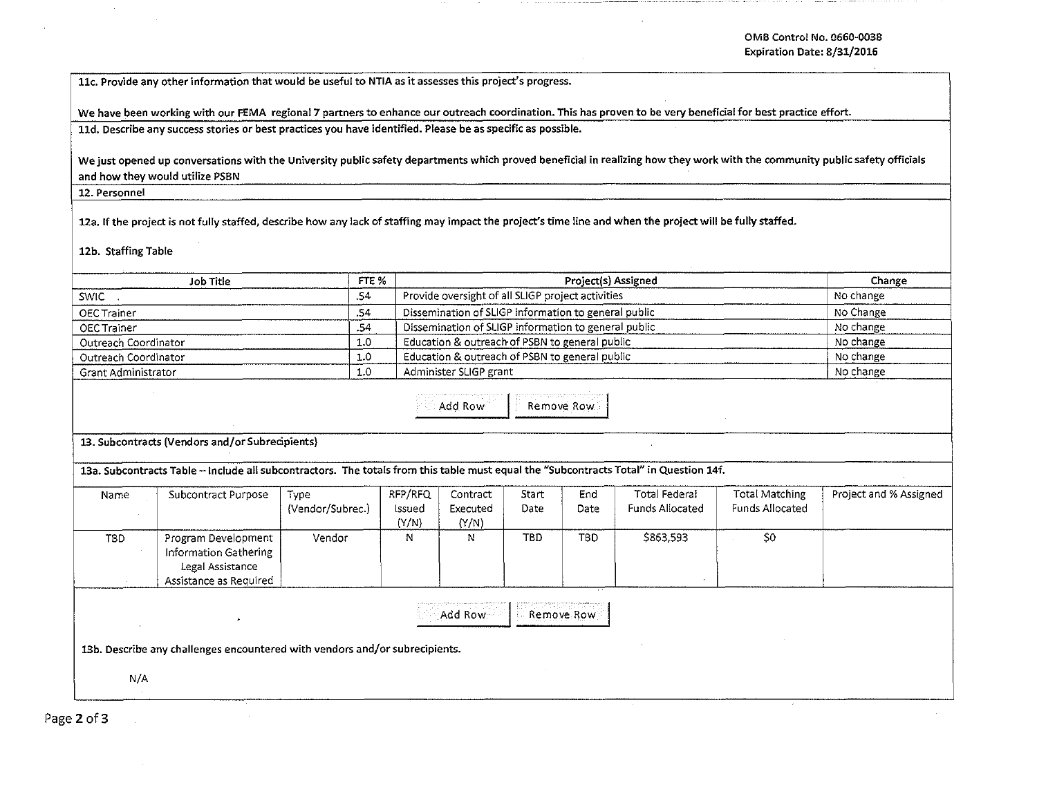llc. Provide any other information that would be useful to NTIA as it assesses this project's progress.

We have been working with our FEMA regional 7 partners to enhance our outreach coordination. This has proven to be very beneficial for best practice effort. lld. Describe any success stories or best practices you have identified. Please be as specific as possible.

We just opened up conversations with the University public safety departments which proved beneficial in realizing how they work with the community public safety officials and how they would utilize PSBN

12. Personnel

12a. If the project is not fully staffed, describe how any lack of staffing may impact the project's time line and when the project will be fully staffed.

12b. Staffing Table

|                                                                                                                                       | Job Title                                                                                  | FTE %                    |                            | Project(s) Assigned                                  |                      |             |                                         |                                          | Change                 |  |
|---------------------------------------------------------------------------------------------------------------------------------------|--------------------------------------------------------------------------------------------|--------------------------|----------------------------|------------------------------------------------------|----------------------|-------------|-----------------------------------------|------------------------------------------|------------------------|--|
| <b>SWIC</b>                                                                                                                           |                                                                                            | .54                      |                            | Provide oversight of all SLIGP project activities    |                      |             |                                         |                                          | No change              |  |
| OEC Trainer                                                                                                                           |                                                                                            | .54                      |                            | Dissemination of SLIGP information to general public |                      |             |                                         |                                          | No Change              |  |
| <b>OEC Trainer</b>                                                                                                                    |                                                                                            | .54                      |                            | Dissemination of SLIGP information to general public | No change            |             |                                         |                                          |                        |  |
| Outreach Coordinator                                                                                                                  |                                                                                            | 1.0                      |                            | Education & outreach of PSBN to general public       | No change            |             |                                         |                                          |                        |  |
| Outreach Coordinator                                                                                                                  |                                                                                            | 1.0                      |                            | Education & outreach of PSBN to general public       | No change            |             |                                         |                                          |                        |  |
| Grant Administrator                                                                                                                   |                                                                                            | 1.0                      |                            | Administer SLIGP grant                               | No change            |             |                                         |                                          |                        |  |
| Add Row<br>Remove Row                                                                                                                 |                                                                                            |                          |                            |                                                      |                      |             |                                         |                                          |                        |  |
|                                                                                                                                       | 13. Subcontracts (Vendors and/or Subrecipients)                                            |                          |                            |                                                      |                      |             |                                         |                                          |                        |  |
| 13a. Subcontracts Table - include all subcontractors. The totals from this table must equal the "Subcontracts Total" in Question 14f. |                                                                                            |                          |                            |                                                      |                      |             |                                         |                                          |                        |  |
| Name                                                                                                                                  | Subcontract Purpose                                                                        | Type<br>(Vendor/Subrec.) | RFP/RFQ<br>Issued<br>(Y/N) | Contract<br>Executed<br>(Y/N)                        | Start<br><b>Date</b> | End<br>Date | Total Federal<br><b>Funds Allocated</b> | Total Matching<br><b>Funds Allocated</b> | Project and % Assigned |  |
| T <sub>8</sub> D                                                                                                                      | Program Development<br>Information Gathering<br>Legal Assistance<br>Assistance as Required | Vendor                   | N                          | N                                                    | <b>TBD</b>           | <b>TBD</b>  | \$863,593                               | S <sub>0</sub>                           |                        |  |
| Add Row<br>Remove Row<br>13b. Describe any challenges encountered with vendors and/or subrecipients.<br>N/A                           |                                                                                            |                          |                            |                                                      |                      |             |                                         |                                          |                        |  |

Page 2 of 3